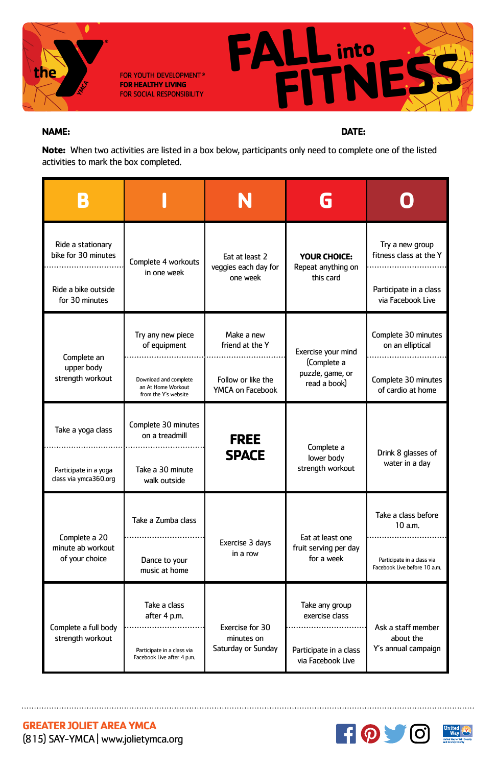

FOR YOUTH DEVELOPMENT® **FOR HEALTHY LIVING** FOR SOCIAL RESPONSIBILITY



## **NAME: DATE:**

**Note:** When two activities are listed in a box below, participants only need to complete one of the listed activities to mark the box completed.

| Ride a stationary<br>bike for 30 minutes             | Complete 4 workouts<br>in one week                                  | Eat at least 2<br>veggies each day for<br>one week  | YOUR CHOICE:<br>Repeat anything on<br>this card                       | Try a new group<br>fitness class at the Y                  |
|------------------------------------------------------|---------------------------------------------------------------------|-----------------------------------------------------|-----------------------------------------------------------------------|------------------------------------------------------------|
| Ride a bike outside<br>for 30 minutes                |                                                                     |                                                     |                                                                       | Participate in a class<br>via Facebook Live                |
| Complete an<br>upper body<br>strength workout        | Try any new piece<br>of equipment                                   | Make a new<br>friend at the Y<br>.                  | Exercise your mind<br>(Complete a<br>puzzle, game, or<br>read a book) | Complete 30 minutes<br>on an elliptical                    |
|                                                      | Download and complete<br>an At Home Workout<br>from the Y's website | Follow or like the<br>YMCA on Facebook              |                                                                       | Complete 30 minutes<br>of cardio at home                   |
| Take a yoga class                                    | Complete 30 minutes<br>on a treadmill                               | <b>FREE</b><br><b>SPACE</b>                         | Complete a<br>lower body<br>strength workout                          | Drink 8 glasses of<br>water in a day                       |
| Participate in a yoga<br>class via ymca360.org       | Take a 30 minute<br>walk outside                                    |                                                     |                                                                       |                                                            |
| Complete a 20<br>minute ab workout<br>of your choice | Take a Zumba class                                                  | Exercise 3 days<br>in a row                         | Eat at least one<br>fruit serving per day<br>for a week               | Take a class before<br>10a.m.                              |
|                                                      | Dance to your<br>music at home                                      |                                                     |                                                                       | Participate in a class via<br>Facebook Live before 10 a.m. |
| Complete a full body<br>strength workout             | Take a class<br>after 4 p.m.                                        | Exercise for 30<br>minutes on<br>Saturday or Sunday | Take any group<br>exercise class                                      | Ask a staff member<br>about the<br>Y's annual campaign     |
|                                                      | Participate in a class via<br>Facebook Live after 4 p.m.            |                                                     | Participate in a class<br>via Facebook Live                           |                                                            |